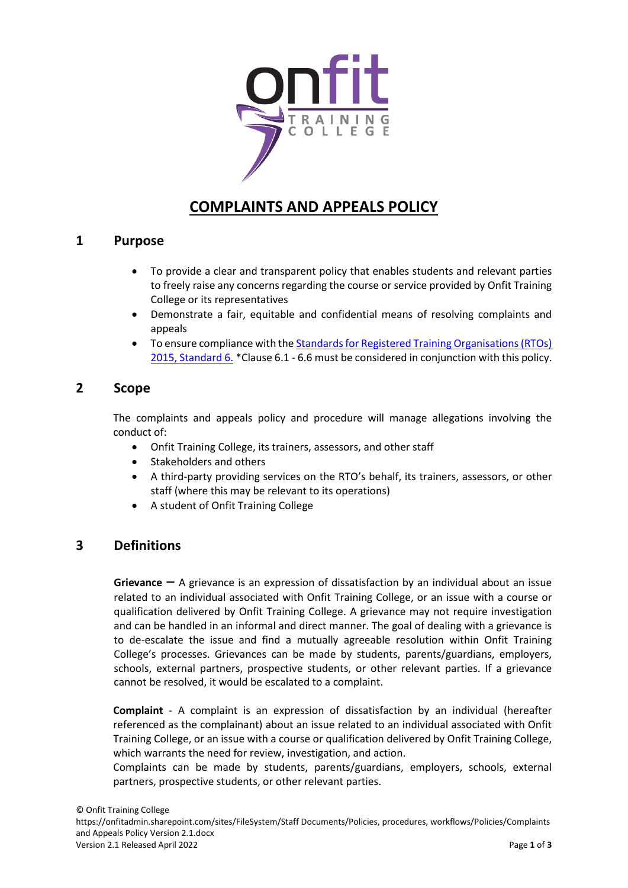

# **COMPLAINTS AND APPEALS POLICY**

### **1 Purpose**

- To provide a clear and transparent policy that enables students and relevant parties to freely raise any concerns regarding the course or service provided by Onfit Training College or its representatives
- Demonstrate a fair, equitable and confidential means of resolving complaints and appeals
- To ensure compliance with the Standards for Registered [Training Organisations \(RTOs\)](https://www.asqa.gov.au/standards/support-progression/clauses-1.7-5.4-6.1-to-6.6)  [2015, Standard 6.](https://www.asqa.gov.au/standards/support-progression/clauses-1.7-5.4-6.1-to-6.6) \*Clause 6.1 - 6.6 must be considered in conjunction with this policy.

# **2 Scope**

The complaints and appeals policy and procedure will manage allegations involving the conduct of:

- Onfit Training College, its trainers, assessors, and other staff
- Stakeholders and others
- A third-party providing services on the RTO's behalf, its trainers, assessors, or other staff (where this may be relevant to its operations)
- A student of Onfit Training College

# **3 Definitions**

**Grievance** – A grievance is an expression of dissatisfaction by an individual about an issue related to an individual associated with Onfit Training College, or an issue with a course or qualification delivered by Onfit Training College. A grievance may not require investigation and can be handled in an informal and direct manner. The goal of dealing with a grievance is to de-escalate the issue and find a mutually agreeable resolution within Onfit Training College's processes. Grievances can be made by students, parents/guardians, employers, schools, external partners, prospective students, or other relevant parties. If a grievance cannot be resolved, it would be escalated to a complaint.

**Complaint** - A complaint is an expression of dissatisfaction by an individual (hereafter referenced as the complainant) about an issue related to an individual associated with Onfit Training College, or an issue with a course or qualification delivered by Onfit Training College, which warrants the need for review, investigation, and action.

Complaints can be made by students, parents/guardians, employers, schools, external partners, prospective students, or other relevant parties.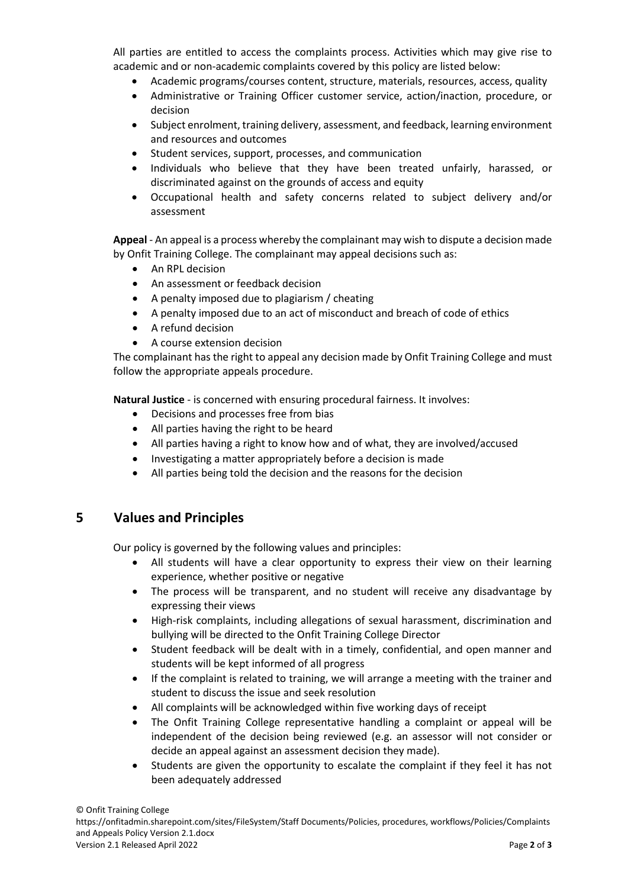All parties are entitled to access the complaints process. Activities which may give rise to academic and or non-academic complaints covered by this policy are listed below:

- Academic programs/courses content, structure, materials, resources, access, quality
- Administrative or Training Officer customer service, action/inaction, procedure, or decision
- Subject enrolment, training delivery, assessment, and feedback, learning environment and resources and outcomes
- Student services, support, processes, and communication
- Individuals who believe that they have been treated unfairly, harassed, or discriminated against on the grounds of access and equity
- Occupational health and safety concerns related to subject delivery and/or assessment

**Appeal** - An appeal is a process whereby the complainant may wish to dispute a decision made by Onfit Training College. The complainant may appeal decisions such as:

- An RPL decision
- An assessment or feedback decision
- A penalty imposed due to plagiarism / cheating
- A penalty imposed due to an act of misconduct and breach of code of ethics
- A refund decision
- A course extension decision

The complainant has the right to appeal any decision made by Onfit Training College and must follow the appropriate appeals procedure.

**Natural Justice** - is concerned with ensuring procedural fairness. It involves:

- Decisions and processes free from bias
- All parties having the right to be heard
- All parties having a right to know how and of what, they are involved/accused
- Investigating a matter appropriately before a decision is made
- All parties being told the decision and the reasons for the decision

# **5 Values and Principles**

Our policy is governed by the following values and principles:

- All students will have a clear opportunity to express their view on their learning experience, whether positive or negative
- The process will be transparent, and no student will receive any disadvantage by expressing their views
- High-risk complaints, including allegations of sexual harassment, discrimination and bullying will be directed to the Onfit Training College Director
- Student feedback will be dealt with in a timely, confidential, and open manner and students will be kept informed of all progress
- If the complaint is related to training, we will arrange a meeting with the trainer and student to discuss the issue and seek resolution
- All complaints will be acknowledged within five working days of receipt
- The Onfit Training College representative handling a complaint or appeal will be independent of the decision being reviewed (e.g. an assessor will not consider or decide an appeal against an assessment decision they made).
- Students are given the opportunity to escalate the complaint if they feel it has not been adequately addressed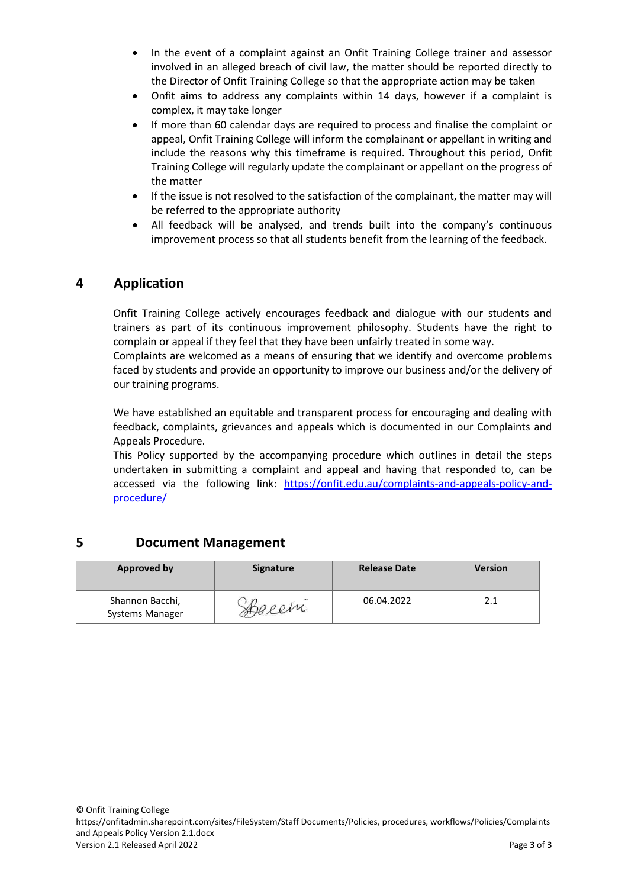- In the event of a complaint against an Onfit Training College trainer and assessor involved in an alleged breach of civil law, the matter should be reported directly to the Director of Onfit Training College so that the appropriate action may be taken
- Onfit aims to address any complaints within 14 days, however if a complaint is complex, it may take longer
- If more than 60 calendar days are required to process and finalise the complaint or appeal, Onfit Training College will inform the complainant or appellant in writing and include the reasons why this timeframe is required. Throughout this period, Onfit Training College will regularly update the complainant or appellant on the progress of the matter
- If the issue is not resolved to the satisfaction of the complainant, the matter may will be referred to the appropriate authority
- All feedback will be analysed, and trends built into the company's continuous improvement process so that all students benefit from the learning of the feedback.

# **4 Application**

Onfit Training College actively encourages feedback and dialogue with our students and trainers as part of its continuous improvement philosophy. Students have the right to complain or appeal if they feel that they have been unfairly treated in some way.

Complaints are welcomed as a means of ensuring that we identify and overcome problems faced by students and provide an opportunity to improve our business and/or the delivery of our training programs.

We have established an equitable and transparent process for encouraging and dealing with feedback, complaints, grievances and appeals which is documented in our Complaints and Appeals Procedure.

This Policy supported by the accompanying procedure which outlines in detail the steps undertaken in submitting a complaint and appeal and having that responded to, can be accessed via the following link: [https://onfit.edu.au/complaints-and-appeals-policy-and](https://onfit.edu.au/complaints-and-appeals-policy-and-procedure/)[procedure/](https://onfit.edu.au/complaints-and-appeals-policy-and-procedure/)

# **5 Document Management**

| <b>Approved by</b>                 | <b>Signature</b> | <b>Release Date</b> | <b>Version</b> |
|------------------------------------|------------------|---------------------|----------------|
| Shannon Bacchi,<br>Systems Manager | spacen           | 06.04.2022          | 2.1            |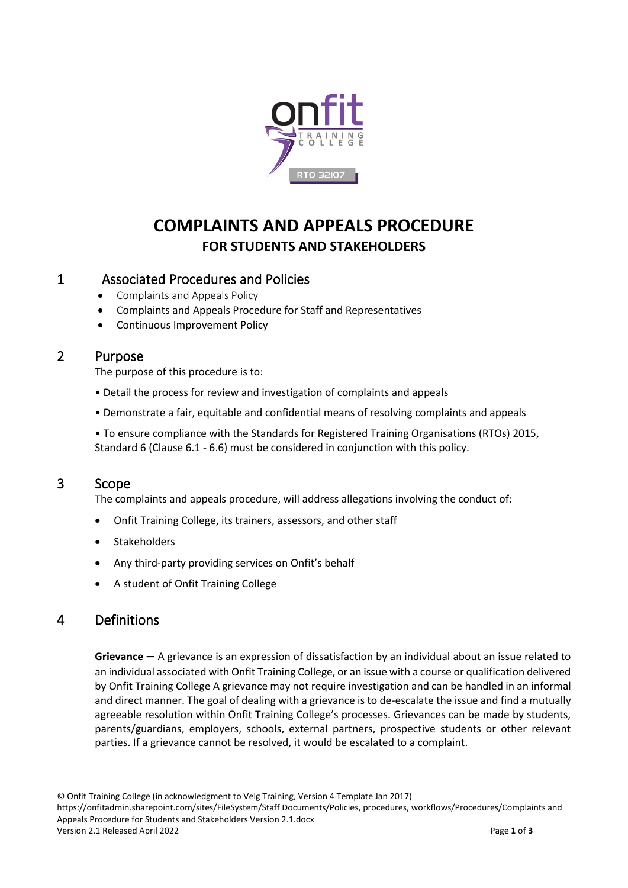

# **COMPLAINTS AND APPEALS PROCEDURE FOR STUDENTS AND STAKEHOLDERS**

# 1 Associated Procedures and Policies

- Complaints and Appeals Policy
- Complaints and Appeals Procedure for Staff and Representatives
- Continuous Improvement Policy

# 2 Purpose

The purpose of this procedure is to:

- Detail the process for review and investigation of complaints and appeals
- Demonstrate a fair, equitable and confidential means of resolving complaints and appeals

• To ensure compliance with the Standards for Registered Training Organisations (RTOs) 2015, Standard 6 (Clause 6.1 - 6.6) must be considered in conjunction with this policy.

# 3 Scope

The complaints and appeals procedure, will address allegations involving the conduct of:

- Onfit Training College, its trainers, assessors, and other staff
- **Stakeholders**
- Any third-party providing services on Onfit's behalf
- A student of Onfit Training College

# 4 Definitions

**Grievance** – A grievance is an expression of dissatisfaction by an individual about an issue related to an individual associated with Onfit Training College, or an issue with a course or qualification delivered by Onfit Training College A grievance may not require investigation and can be handled in an informal and direct manner. The goal of dealing with a grievance is to de-escalate the issue and find a mutually agreeable resolution within Onfit Training College's processes. Grievances can be made by students, parents/guardians, employers, schools, external partners, prospective students or other relevant parties. If a grievance cannot be resolved, it would be escalated to a complaint.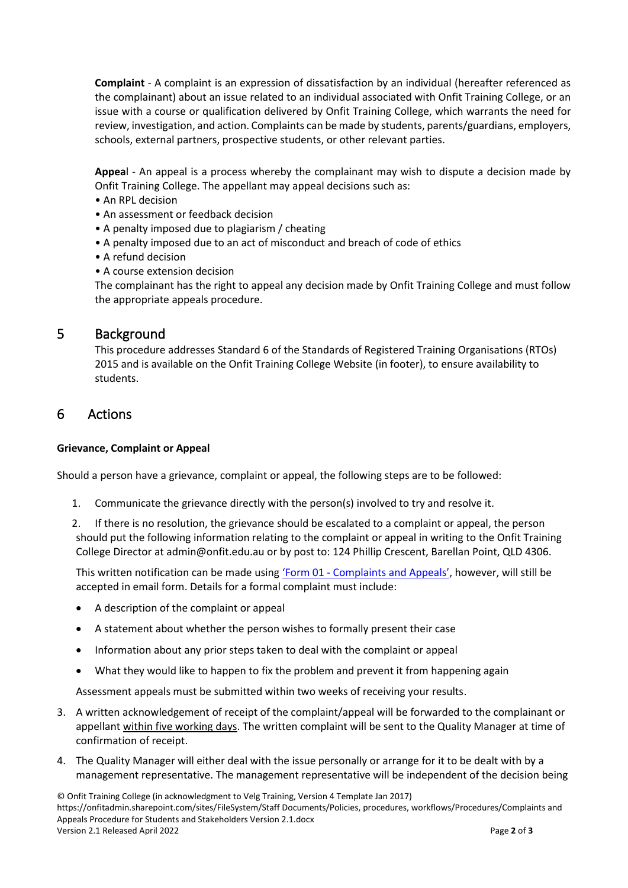**Complaint** - A complaint is an expression of dissatisfaction by an individual (hereafter referenced as the complainant) about an issue related to an individual associated with Onfit Training College, or an issue with a course or qualification delivered by Onfit Training College, which warrants the need for review, investigation, and action. Complaints can be made by students, parents/guardians, employers, schools, external partners, prospective students, or other relevant parties.

**Appea**l - An appeal is a process whereby the complainant may wish to dispute a decision made by Onfit Training College. The appellant may appeal decisions such as:

- An RPL decision
- An assessment or feedback decision
- A penalty imposed due to plagiarism / cheating
- A penalty imposed due to an act of misconduct and breach of code of ethics
- A refund decision
- A course extension decision

The complainant has the right to appeal any decision made by Onfit Training College and must follow the appropriate appeals procedure.

### 5 Background

This procedure addresses Standard 6 of the Standards of Registered Training Organisations (RTOs) 2015 and is available on the Onfit Training College Website (in footer), to ensure availability to students.

# 6 Actions

#### **Grievance, Complaint or Appeal**

Should a person have a grievance, complaint or appeal, the following steps are to be followed:

- 1. Communicate the grievance directly with the person(s) involved to try and resolve it.
- 2. If there is no resolution, the grievance should be escalated to a complaint or appeal, the person should put the following information relating to the complaint or appeal in writing to the Onfit Training College Director at [admin@onfit.edu.au](mailto:admin@onfit.edu.au) or by post to: 124 Phillip Crescent, Barellan Point, QLD 4306.

This written notification can be made using 'Form 01 - [Complaints and Appeals'](https://onfit.edu.au/wp-content/uploads/Form-01-Complaints-and-Appeals.pdf), however, will still be accepted in email form. Details for a formal complaint must include:

- A description of the complaint or appeal
- A statement about whether the person wishes to formally present their case
- Information about any prior steps taken to deal with the complaint or appeal
- What they would like to happen to fix the problem and prevent it from happening again

Assessment appeals must be submitted within two weeks of receiving your results.

- 3. A written acknowledgement of receipt of the complaint/appeal will be forwarded to the complainant or appellant within five working days. The written complaint will be sent to the Quality Manager at time of confirmation of receipt.
- 4. The Quality Manager will either deal with the issue personally or arrange for it to be dealt with by a management representative. The management representative will be independent of the decision being

© Onfit Training College (in acknowledgment to Velg Training, Version 4 Template Jan 2017) https://onfitadmin.sharepoint.com/sites/FileSystem/Staff Documents/Policies, procedures, workflows/Procedures/Complaints and Appeals Procedure for Students and Stakeholders Version 2.1.docx Version 2.1 Released April 2022 Page **2** of **3**